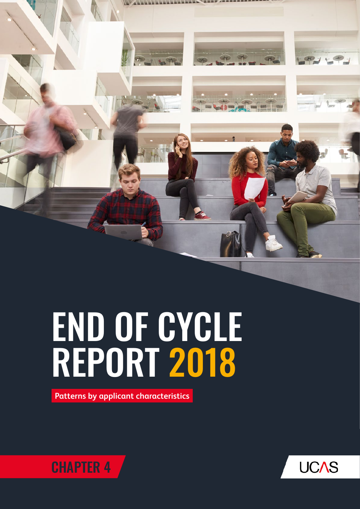

## END OF CYCLE REPORT 2018

**Patterns by applicant characteristics**



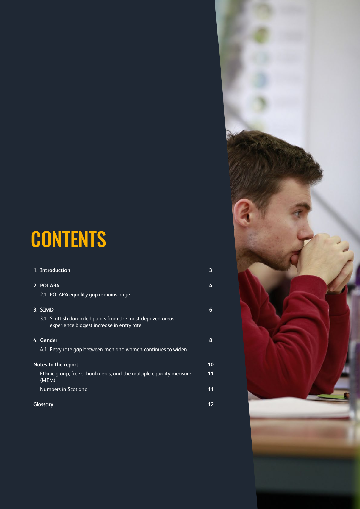### **CONTENTS**

| 1. Introduction                                                                                         | 3  |
|---------------------------------------------------------------------------------------------------------|----|
| 2. POLAR4                                                                                               | 4  |
| 2.1 POLAR4 equality gap remains large                                                                   |    |
| 3. SIMD                                                                                                 | 6  |
| 3.1 Scottish domiciled pupils from the most deprived areas<br>experience biggest increase in entry rate |    |
| 4. Gender                                                                                               | 8  |
| 4.1 Entry rate gap between men and women continues to widen                                             |    |
| Notes to the report                                                                                     | 10 |
| Ethnic group, free school meals, and the multiple equality measure<br>(MEM)                             | 11 |
| Numbers in Scotland                                                                                     | 11 |
| Glossary                                                                                                | 12 |

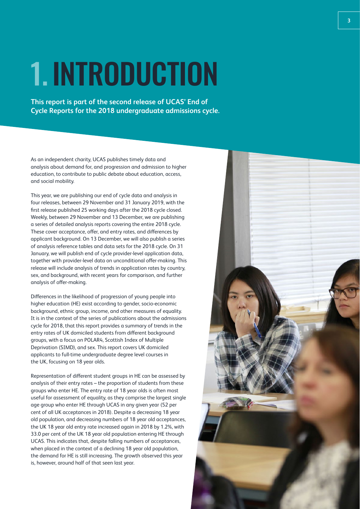## 1. INTRODUCTION

**This report is part of the second release of UCAS' End of Cycle Reports for the 2018 undergraduate admissions cycle.** 

As an independent charity, UCAS publishes timely data and analysis about demand for, and progression and admission to higher education, to contribute to public debate about education, access, and social mobility.

This year, we are publishing our end of cycle data and analysis in four releases, between 29 November and 31 January 2019, with the first release published 25 working days after the 2018 cycle closed. Weekly, between 29 November and 13 December, we are publishing a series of detailed analysis reports covering the entire 2018 cycle. These cover acceptance, offer, and entry rates, and differences by applicant background. On 13 December, we will also publish a series of analysis reference tables and data sets for the 2018 cycle. On 31 January, we will publish end of cycle provider-level application data, together with provider-level data on unconditional offer-making. This release will include analysis of trends in application rates by country, sex, and background, with recent years for comparison, and further analysis of offer-making.

Differences in the likelihood of progression of young people into higher education (HE) exist according to gender, socio-economic background, ethnic group, income, and other measures of equality. It is in the context of the series of publications about the admissions cycle for 2018, that this report provides a summary of trends in the entry rates of UK domiciled students from different background groups, with a focus on POLAR4, Scottish Index of Multiple Deprivation (SIMD), and sex. This report covers UK domiciled applicants to full-time undergraduate degree level courses in the UK, focusing on 18 year olds.

Representation of different student groups in HE can be assessed by analysis of their entry rates – the proportion of students from these groups who enter HE. The entry rate of 18 year olds is often most useful for assessment of equality, as they comprise the largest single age group who enter HE through UCAS in any given year (52 per cent of all UK acceptances in 2018). Despite a decreasing 18 year old population, and decreasing numbers of 18 year old acceptances, the UK 18 year old entry rate increased again in 2018 by 1.2%, with 33.0 per cent of the UK 18 year old population entering HE through UCAS. This indicates that, despite falling numbers of acceptances, when placed in the context of a declining 18 year old population, the demand for HE is still increasing. The growth observed this year is, however, around half of that seen last year.

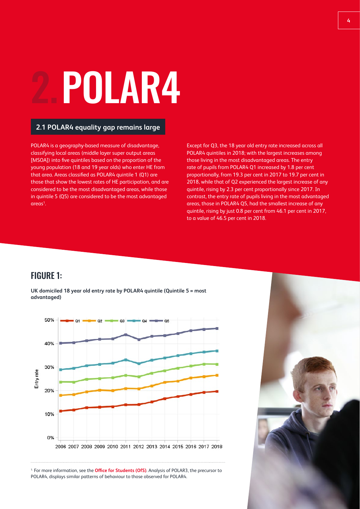## 2.POLAR4

### **2.1 POLAR4 equality gap remains large**

POLAR4 is a geography-based measure of disadvantage, classifying local areas (middle layer super output areas [MSOA]) into five quintiles based on the proportion of the young population (18 and 19 year olds) who enter HE from that area. Areas classified as POLAR4 quintile 1 (Q1) are those that show the lowest rates of HE participation, and are considered to be the most disadvantaged areas, while those in quintile 5 (Q5) are considered to be the most advantaged areas<sup>1</sup>.

Except for Q3, the 18 year old entry rate increased across all POLAR4 quintiles in 2018; with the largest increases among those living in the most disadvantaged areas. The entry rate of pupils from POLAR4 Q1 increased by 1.8 per cent proportionally, from 19.3 per cent in 2017 to 19.7 per cent in 2018, while that of Q2 experienced the largest increase of any quintile, rising by 2.3 per cent proportionally since 2017. In contrast, the entry rate of pupils living in the most advantaged areas, those in POLAR4 Q5, had the smallest increase of any quintile, rising by just 0.8 per cent from 46.1 per cent in 2017, to a value of 46.5 per cent in 2018.

### FIGURE 1:

**UK domiciled 18 year old entry rate by POLAR4 quintile (Quintile 5 = most advantaged)**



1. For more information, see the **[Office for Students \(OfS\)](https://www.officeforstudents.org.uk/data-and-analysis/polar-participation-of-local-areas/)**. Analysis of POLAR3, the precursor to POLAR4, displays similar patterns of behaviour to those observed for POLAR4.

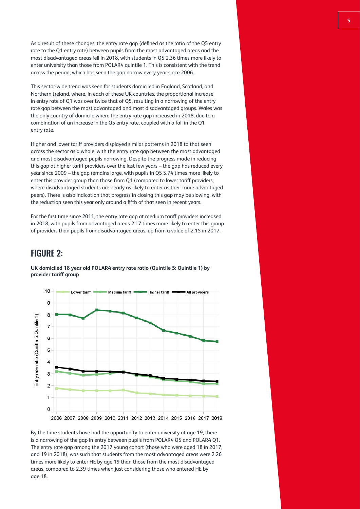As a result of these changes, the entry rate gap (defined as the ratio of the Q5 entry rate to the Q1 entry rate) between pupils from the most advantaged areas and the most disadvantaged areas fell in 2018, with students in Q5 2.36 times more likely to enter university than those from POLAR4 quintile 1. This is consistent with the trend across the period, which has seen the gap narrow every year since 2006.

This sector-wide trend was seen for students domiciled in England, Scotland, and Northern Ireland, where, in each of these UK countries, the proportional increase in entry rate of Q1 was over twice that of Q5, resulting in a narrowing of the entry rate gap between the most advantaged and most disadvantaged groups. Wales was the only country of domicile where the entry rate gap increased in 2018, due to a combination of an increase in the Q5 entry rate, coupled with a fall in the Q1 entry rate.

Higher and lower tariff providers displayed similar patterns in 2018 to that seen across the sector as a whole, with the entry rate gap between the most advantaged and most disadvantaged pupils narrowing. Despite the progress made in reducing this gap at higher tariff providers over the last few years – the gap has reduced every year since 2009 – the gap remains large, with pupils in Q5 5.74 times more likely to enter this provider group than those from Q1 (compared to lower tariff providers, where disadvantaged students are nearly as likely to enter as their more advantaged peers). There is also indication that progress in closing this gap may be slowing, with the reduction seen this year only around a fifth of that seen in recent years.

For the first time since 2011, the entry rate gap at medium tariff providers increased in 2018, with pupils from advantaged areas 2.17 times more likely to enter this group of providers than pupils from disadvantaged areas, up from a value of 2.15 in 2017.

### FIGURE 2:

**UK domiciled 18 year old POLAR4 entry rate ratio (Quintile 5: Quintile 1) by provider tariff group**



By the time students have had the opportunity to enter university at age 19, there is a narrowing of the gap in entry between pupils from POLAR4 Q5 and POLAR4 Q1. The entry rate gap among the 2017 young cohort (those who were aged 18 in 2017, and 19 in 2018), was such that students from the most advantaged areas were 2.26 times more likely to enter HE by age 19 than those from the most disadvantaged areas, compared to 2.39 times when just considering those who entered HE by age 18.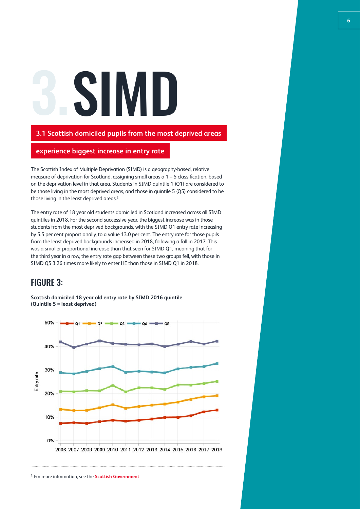# SIMI

### **3.1 Scottish domiciled pupils from the most deprived areas**

### **experience biggest increase in entry rate**

The Scottish Index of Multiple Deprivation (SIMD) is a geography-based, relative measure of deprivation for Scotland, assigning small areas a 1 – 5 classification, based on the deprivation level in that area. Students in SIMD quintile 1 (Q1) are considered to be those living in the most deprived areas, and those in quintile 5 (Q5) considered to be those living in the least deprived areas.<sup>2</sup>

The entry rate of 18 year old students domiciled in Scotland increased across all SIMD quintiles in 2018. For the second successive year, the biggest increase was in those students from the most deprived backgrounds, with the SIMD Q1 entry rate increasing by 5.5 per cent proportionally, to a value 13.0 per cent. The entry rate for those pupils from the least deprived backgrounds increased in 2018, following a fall in 2017. This was a smaller proportional increase than that seen for SIMD Q1, meaning that for the third year in a row, the entry rate gap between these two groups fell, with those in SIMD Q5 3.26 times more likely to enter HE than those in SIMD Q1 in 2018.

### FIGURE 3:

**Scottish domiciled 18 year old entry rate by SIMD 2016 quintile (Quintile 5 = least deprived)**

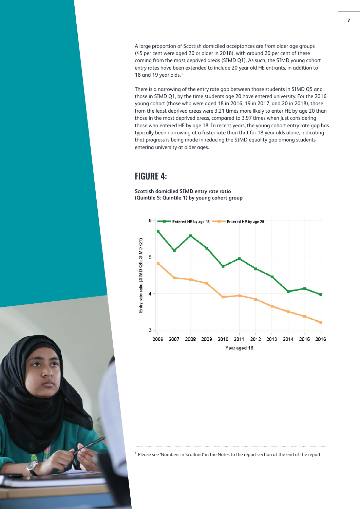A large proportion of Scottish domiciled acceptances are from older age groups (45 per cent were aged 20 or older in 2018), with around 20 per cent of these coming from the most deprived areas (SIMD Q1). As such, the SIMD young cohort entry rates have been extended to include 20 year old HE entrants, in addition to 18 and 19 year olds.<sup>3</sup>

There is a narrowing of the entry rate gap between those students in SIMD Q5 and those in SIMD Q1, by the time students age 20 have entered university. For the 2016 young cohort (those who were aged 18 in 2016, 19 in 2017, and 20 in 2018), those from the least deprived areas were 3.21 times more likely to enter HE by age 20 than those in the most deprived areas, compared to 3.97 times when just considering those who entered HE by age 18. In recent years, the young cohort entry rate gap has typically been narrowing at a faster rate than that for 18 year olds alone, indicating that progress is being made in reducing the SIMD equality gap among students entering university at older ages.

### FIGURE 4:

**Scottish domiciled SIMD entry rate ratio (Quintile 5: Quintile 1) by young cohort group**



<sup>3.</sup> Please see 'Numbers in Scotland' in the Notes to the report section at the end of the report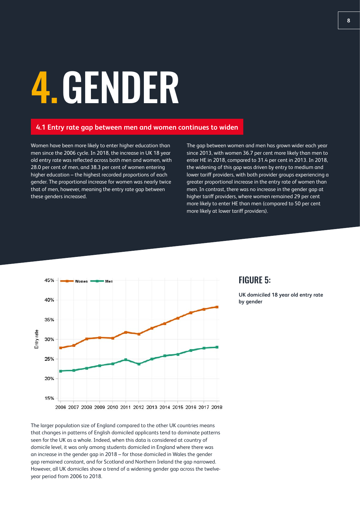# 4.GENDER

### **4.1 Entry rate gap between men and women continues to widen**

Women have been more likely to enter higher education than men since the 2006 cycle. In 2018, the increase in UK 18 year old entry rate was reflected across both men and women, with 28.0 per cent of men, and 38.3 per cent of women entering higher education – the highest recorded proportions of each gender. The proportional increase for women was nearly twice that of men, however, meaning the entry rate gap between these genders increased.

The gap between women and men has grown wider each year since 2013, with women 36.7 per cent more likely than men to enter HE in 2018, compared to 31.4 per cent in 2013. In 2018, the widening of this gap was driven by entry to medium and lower tariff providers, with both provider groups experiencing a greater proportional increase in the entry rate of women than men. In contrast, there was no increase in the gender gap at higher tariff providers, where women remained 29 per cent more likely to enter HE than men (compared to 50 per cent more likely at lower tariff providers).



### The larger population size of England compared to the other UK countries means that changes in patterns of English domiciled applicants tend to dominate patterns seen for the UK as a whole. Indeed, when this data is considered at country of domicile level, it was only among students domiciled in England where there was an increase in the gender gap in 2018 – for those domiciled in Wales the gender gap remained constant, and for Scotland and Northern Ireland the gap narrowed. However, all UK domiciles show a trend of a widening gender gap across the twelveyear period from 2006 to 2018.

### FIGURE 5:

**UK domiciled 18 year old entry rate by gender**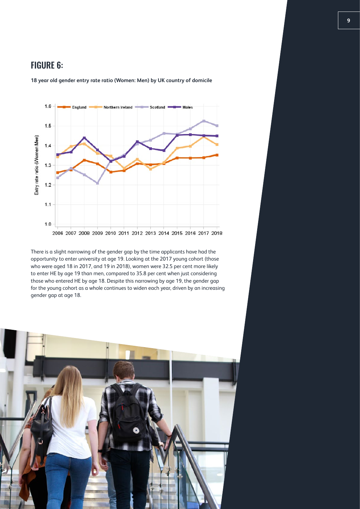### FIGURE 6:



**18 year old gender entry rate ratio (Women: Men) by UK country of domicile**

There is a slight narrowing of the gender gap by the time applicants have had the opportunity to enter university at age 19. Looking at the 2017 young cohort (those who were aged 18 in 2017, and 19 in 2018), women were 32.5 per cent more likely to enter HE by age 19 than men, compared to 35.8 per cent when just considering those who entered HE by age 18. Despite this narrowing by age 19, the gender gap for the young cohort as a whole continues to widen each year, driven by an increasing gender gap at age 18.

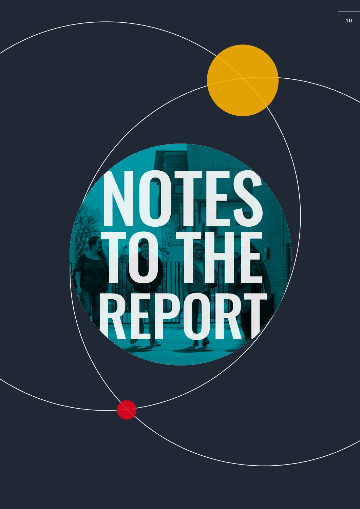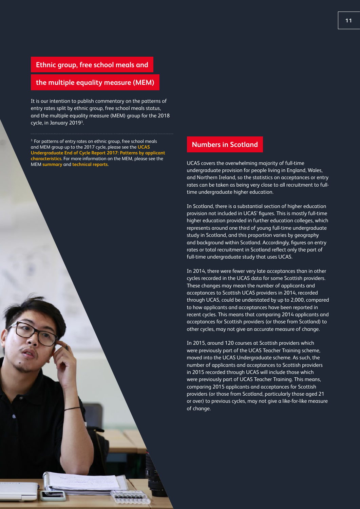#### **Ethnic group, free school meals and**

### **the multiple equality measure (MEM)**

It is our intention to publish commentary on the patterns of entry rates split by ethnic group, free school meals status, and the multiple equality measure (MEM) group for the 2018 cycle, in January 2019<sup>3</sup>.

<sup>3.</sup> For patterns of entry rates on ethnic group, free school meals and MEM group up to the 2017 cycle, please see the **[UCAS](https://www.ucas.com/file/140396/download?token=TC7eMH9W)  [Undergraduate End of Cycle Report 2017: Patterns by applicant](https://www.ucas.com/file/140396/download?token=TC7eMH9W)  [characteristics](https://www.ucas.com/file/140396/download?token=TC7eMH9W)**. For more information on the MEM, please see the MEM **[summary](https://www.ucas.com/file/190246/download?token=7drEUmCm)** and **[technical reports](https://www.ucas.com/file/190241/download?token=TrHwfBmw)**.

#### **Numbers in Scotland**

UCAS covers the overwhelming majority of full-time undergraduate provision for people living in England, Wales, and Northern Ireland, so the statistics on acceptances or entry rates can be taken as being very close to all recruitment to fulltime undergraduate higher education.

In Scotland, there is a substantial section of higher education provision not included in UCAS' figures. This is mostly full-time higher education provided in further education colleges, which represents around one third of young full-time undergraduate study in Scotland, and this proportion varies by geography and background within Scotland. Accordingly, figures on entry rates or total recruitment in Scotland reflect only the part of full-time undergraduate study that uses UCAS.

In 2014, there were fewer very late acceptances than in other cycles recorded in the UCAS data for some Scottish providers. These changes may mean the number of applicants and acceptances to Scottish UCAS providers in 2014, recorded through UCAS, could be understated by up to 2,000, compared to how applicants and acceptances have been reported in recent cycles. This means that comparing 2014 applicants and acceptances for Scottish providers (or those from Scotland) to other cycles, may not give an accurate measure of change.

In 2015, around 120 courses at Scottish providers which were previously part of the UCAS Teacher Training scheme, moved into the UCAS Undergraduate scheme. As such, the number of applicants and acceptances to Scottish providers in 2015 recorded through UCAS will include those which were previously part of UCAS Teacher Training. This means, comparing 2015 applicants and acceptances for Scottish providers (or those from Scotland, particularly those aged 21 or over) to previous cycles, may not give a like-for-like measure of change.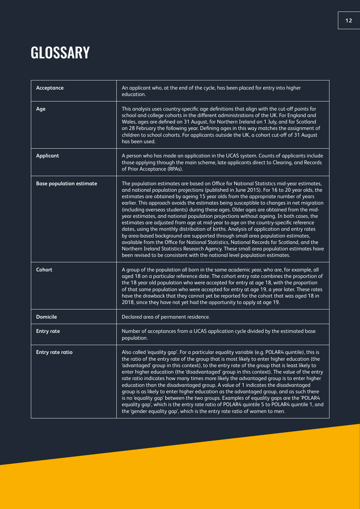### **GLOSSARY**

| Acceptance                      | An applicant who, at the end of the cycle, has been placed for entry into higher<br>education.                                                                                                                                                                                                                                                                                                                                                                                                                                                                                                                                                                                                                                                                                                                                                                                                                                                                                                                                                                                                             |
|---------------------------------|------------------------------------------------------------------------------------------------------------------------------------------------------------------------------------------------------------------------------------------------------------------------------------------------------------------------------------------------------------------------------------------------------------------------------------------------------------------------------------------------------------------------------------------------------------------------------------------------------------------------------------------------------------------------------------------------------------------------------------------------------------------------------------------------------------------------------------------------------------------------------------------------------------------------------------------------------------------------------------------------------------------------------------------------------------------------------------------------------------|
| Age                             | This analysis uses country-specific age definitions that align with the cut-off points for<br>school and college cohorts in the different administrations of the UK. For England and<br>Wales, ages are defined on 31 August, for Northern Ireland on 1 July, and for Scotland<br>on 28 February the following year. Defining ages in this way matches the assignment of<br>children to school cohorts. For applicants outside the UK, a cohort cut-off of 31 August<br>has been used.                                                                                                                                                                                                                                                                                                                                                                                                                                                                                                                                                                                                                     |
| <b>Applicant</b>                | A person who has made an application in the UCAS system. Counts of applicants include<br>those applying through the main scheme, late applicants direct to Clearing, and Records<br>of Prior Acceptance (RPAs).                                                                                                                                                                                                                                                                                                                                                                                                                                                                                                                                                                                                                                                                                                                                                                                                                                                                                            |
| <b>Base population estimate</b> | The population estimates are based on Office for National Statistics mid-year estimates,<br>and national population projections (published in June 2015). For 16 to 20 year olds, the<br>estimates are obtained by ageing 15 year olds from the appropriate number of years<br>earlier. This approach avoids the estimates being susceptible to changes in net migration<br>(including overseas students) during these ages. Older ages are obtained from the mid-<br>year estimates, and national population projections without ageing. In both cases, the<br>estimates are adjusted from age at mid-year to age on the country-specific reference<br>dates, using the monthly distribution of births. Analysis of application and entry rates<br>by area-based background are supported through small area population estimates,<br>available from the Office for National Statistics, National Records for Scotland, and the<br>Northern Ireland Statistics Research Agency. These small area population estimates have<br>been revised to be consistent with the national level population estimates. |
| Cohort                          | A group of the population all born in the same academic year, who are, for example, all<br>aged 18 on a particular reference date. The cohort entry rate combines the proportion of<br>the 18 year old population who were accepted for entry at age 18, with the proportion<br>of that same population who were accepted for entry at age 19, a year later. These rates<br>have the drawback that they cannot yet be reported for the cohort that was aged 18 in<br>2018, since they have not yet had the opportunity to apply at age 19.                                                                                                                                                                                                                                                                                                                                                                                                                                                                                                                                                                 |
| <b>Domicile</b>                 | Declared area of permanent residence.                                                                                                                                                                                                                                                                                                                                                                                                                                                                                                                                                                                                                                                                                                                                                                                                                                                                                                                                                                                                                                                                      |
| <b>Entry rate</b>               | Number of acceptances from a UCAS application cycle divided by the estimated base<br>population.                                                                                                                                                                                                                                                                                                                                                                                                                                                                                                                                                                                                                                                                                                                                                                                                                                                                                                                                                                                                           |
| Entry rate ratio                | Also called 'equality gap'. For a particular equality variable (e.g. POLAR4 quintile), this is<br>the ratio of the entry rate of the group that is most likely to enter higher education (the<br>'advantaged' group in this context), to the entry rate of the group that is least likely to<br>enter higher education (the 'disadvantaged' group in this context). The value of the entry<br>rate ratio indicates how many times more likely the advantaged group is to enter higher<br>education than the disadvantaged group. A value of 1 indicates the disadvantaged<br>group is as likely to enter higher education as the advantaged group, and as such there<br>is no 'equality gap' between the two groups. Examples of equality gaps are the 'POLAR4<br>equality gap', which is the entry rate ratio of POLAR4 quintile 5 to POLAR4 quintile 1, and<br>the 'gender equality gap', which is the entry rate ratio of women to men.                                                                                                                                                                 |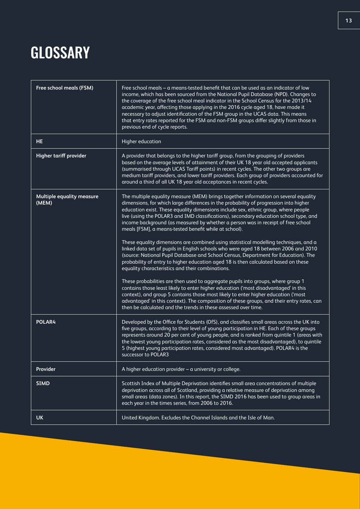### **GLOSSARY**

| Free school meals (FSM)                   | Free school meals - a means-tested benefit that can be used as an indicator of low<br>income, which has been sourced from the National Pupil Database (NPD). Changes to<br>the coverage of the free school meal indicator in the School Census for the 2013/14<br>academic year, affecting those applying in the 2016 cycle aged 18, have made it<br>necessary to adjust identification of the FSM group in the UCAS data. This means<br>that entry rates reported for the FSM and non-FSM groups differ slightly from those in<br>previous end of cycle reports.                                                                                                                                                                                                                                                                                                                                                                                                                                                                                                                                                                                                                                                                                                                                                                                      |
|-------------------------------------------|--------------------------------------------------------------------------------------------------------------------------------------------------------------------------------------------------------------------------------------------------------------------------------------------------------------------------------------------------------------------------------------------------------------------------------------------------------------------------------------------------------------------------------------------------------------------------------------------------------------------------------------------------------------------------------------------------------------------------------------------------------------------------------------------------------------------------------------------------------------------------------------------------------------------------------------------------------------------------------------------------------------------------------------------------------------------------------------------------------------------------------------------------------------------------------------------------------------------------------------------------------------------------------------------------------------------------------------------------------|
| <b>HE</b>                                 | Higher education                                                                                                                                                                                                                                                                                                                                                                                                                                                                                                                                                                                                                                                                                                                                                                                                                                                                                                                                                                                                                                                                                                                                                                                                                                                                                                                                       |
| Higher tariff provider                    | A provider that belongs to the higher tariff group, from the grouping of providers<br>based on the average levels of attainment of their UK 18 year old accepted applicants<br>(summarised through UCAS Tariff points) in recent cycles. The other two groups are<br>medium tariff providers, and lower tariff providers. Each group of providers accounted for<br>around a third of all UK 18 year old acceptances in recent cycles.                                                                                                                                                                                                                                                                                                                                                                                                                                                                                                                                                                                                                                                                                                                                                                                                                                                                                                                  |
| <b>Multiple equality measure</b><br>(MEM) | The multiple equality measure (MEM) brings together information on several equality<br>dimensions, for which large differences in the probability of progression into higher<br>education exist. These equality dimensions include sex, ethnic group, where people<br>live (using the POLAR3 and IMD classifications), secondary education school type, and<br>income background (as measured by whether a person was in receipt of free school<br>meals [FSM], a means-tested benefit while at school).<br>These equality dimensions are combined using statistical modelling techniques, and a<br>linked data set of pupils in English schools who were aged 18 between 2006 and 2010<br>(source: National Pupil Database and School Census, Department for Education). The<br>probability of entry to higher education aged 18 is then calculated based on these<br>equality characteristics and their combinations.<br>These probabilities are then used to aggregate pupils into groups, where group 1<br>contains those least likely to enter higher education ('most disadvantaged' in this<br>context), and group 5 contains those most likely to enter higher education ('most<br>advantaged' in this context). The composition of these groups, and their entry rates, can<br>then be calculated and the trends in these assessed over time. |
| POLAR4                                    | Developed by the Office for Students (OfS), and classifies small areas across the UK into<br>five groups, according to their level of young participation in HE. Each of these groups<br>represents around 20 per cent of young people, and is ranked from quintile 1 (areas with<br>the lowest young participation rates, considered as the most disadvantaged), to quintile<br>5 (highest young participation rates, considered most advantaged). POLAR4 is the<br>successor to POLAR3                                                                                                                                                                                                                                                                                                                                                                                                                                                                                                                                                                                                                                                                                                                                                                                                                                                               |
| Provider                                  | A higher education provider $-$ a university or college.                                                                                                                                                                                                                                                                                                                                                                                                                                                                                                                                                                                                                                                                                                                                                                                                                                                                                                                                                                                                                                                                                                                                                                                                                                                                                               |
| <b>SIMD</b>                               | Scottish Index of Multiple Deprivation identifies small area concentrations of multiple<br>deprivation across all of Scotland, providing a relative measure of deprivation among<br>small areas (data zones). In this report, the SIMD 2016 has been used to group areas in<br>each year in the times series, from 2006 to 2016.                                                                                                                                                                                                                                                                                                                                                                                                                                                                                                                                                                                                                                                                                                                                                                                                                                                                                                                                                                                                                       |
| <b>UK</b>                                 | United Kingdom. Excludes the Channel Islands and the Isle of Man.                                                                                                                                                                                                                                                                                                                                                                                                                                                                                                                                                                                                                                                                                                                                                                                                                                                                                                                                                                                                                                                                                                                                                                                                                                                                                      |